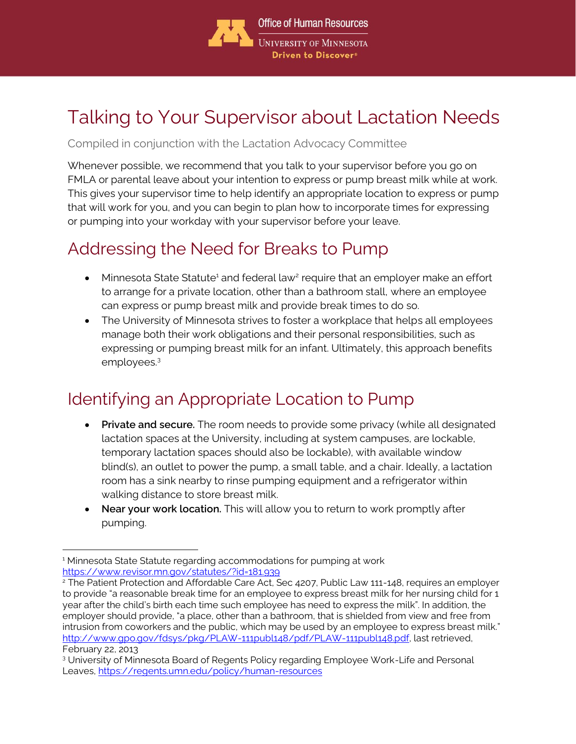

# Talking to Your Supervisor about Lactation Needs

#### Compiled in conjunction with the Lactation Advocacy Committee

Whenever possible, we recommend that you talk to your supervisor before you go on FMLA or parental leave about your intention to express or pump breast milk while at work. This gives your supervisor time to help identify an appropriate location to express or pump that will work for you, and you can begin to plan how to incorporate times for expressing or pumping into your workday with your supervisor before your leave.

#### Addressing the Need for Breaks to Pump

- Minnesota State Statute<sup>1</sup> and federal law<sup>2</sup> require that an employer make an effort to arrange for a private location, other than a bathroom stall, where an employee can express or pump breast milk and provide break times to do so.
- The University of Minnesota strives to foster a workplace that helps all employees manage both their work obligations and their personal responsibilities, such as expressing or pumping breast milk for an infant. Ultimately, this approach benefits employees.<sup>3</sup>

### Identifying an Appropriate Location to Pump

- **Private and secure.** The room needs to provide some privacy (while all designated lactation spaces at the University, including at system campuses, are lockable, temporary lactation spaces should also be lockable), with available window blind(s), an outlet to power the pump, a small table, and a chair. Ideally, a lactation room has a sink nearby to rinse pumping equipment and a refrigerator within walking distance to store breast milk.
- **Near your work location.** This will allow you to return to work promptly after pumping.

<sup>&</sup>lt;sup>1</sup> Minnesota State Statute regarding accommodations for pumping at work <https://www.revisor.mn.gov/statutes/?id=181.939>

<sup>&</sup>lt;sup>2</sup> The Patient Protection and Affordable Care Act, Sec 4207, Public Law 111-148, requires an employer to provide "a reasonable break time for an employee to express breast milk for her nursing child for 1 year after the child's birth each time such employee has need to express the milk". In addition, the employer should provide, "a place, other than a bathroom, that is shielded from view and free from intrusion from coworkers and the public, which may be used by an employee to express breast milk." [http://www.gpo.gov/fdsys/pkg/PLAW-111publ148/pdf/PLAW-111publ148.pdf,](http://www.gpo.gov/fdsys/pkg/PLAW-111publ148/pdf/PLAW-111publ148.pdf) last retrieved, February 22, 2013

<sup>3</sup> University of Minnesota Board of Regents Policy regarding Employee Work-Life and Personal Leaves, <https://regents.umn.edu/policy/human-resources>